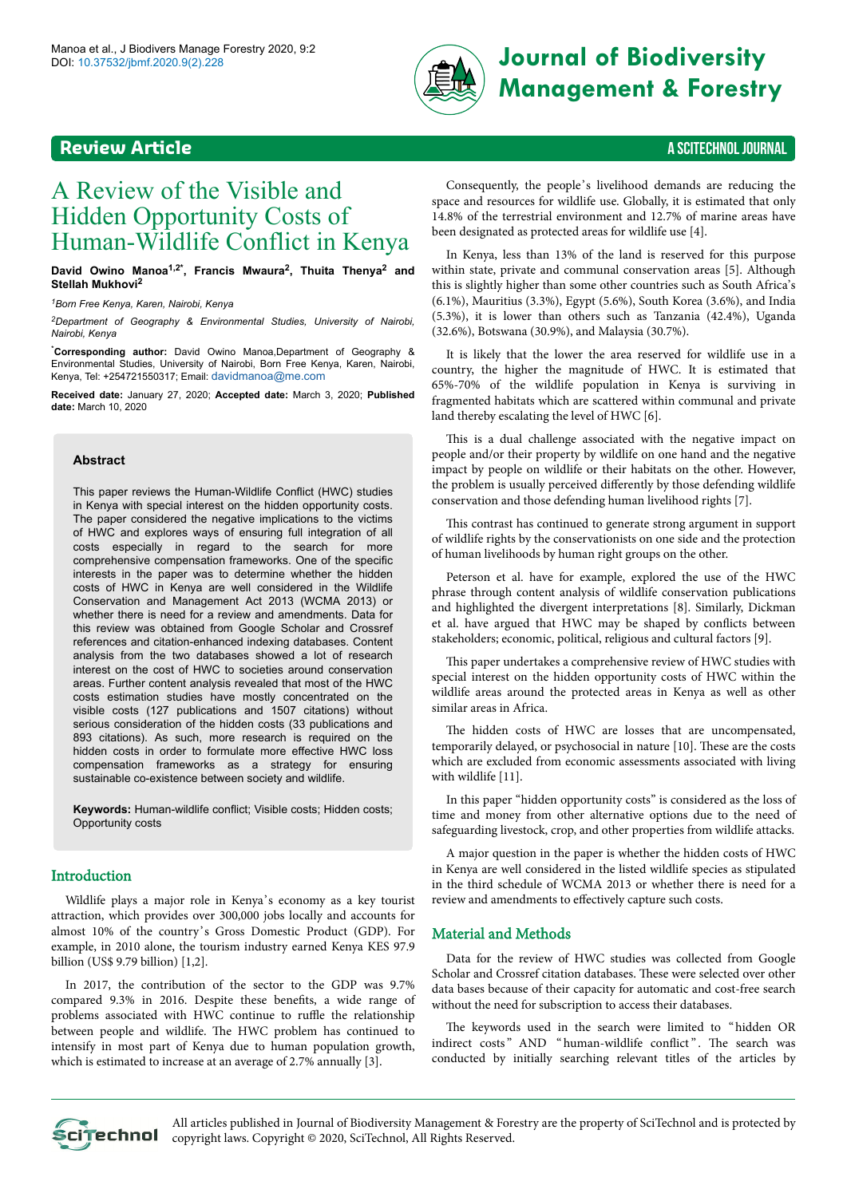

# **DOI:** 10.37532/jbmf.2020.9(2).228 **Journal of Biodiversity Management & Forestry**

## **Review Article** A SCITECHNOL JOURNAL

## A Review of the Visible and Hidden Opportunity Costs of Human-Wildlife Conflict in Kenya

**David Owino Manoa1,2\*, Francis Mwaura<sup>2</sup> , Thuita Thenya<sup>2</sup> and Stellah Mukhovi<sup>2</sup>**

*<sup>1</sup>Born Free Kenya, Karen, Nairobi, Kenya*

*<sup>2</sup>Department of Geography & Environmental Studies, University of Nairobi, Nairobi, Kenya*

\***Corresponding author:** David Owino Manoa,Department of Geography & Environmental Studies, University of Nairobi, Born Free Kenya, Karen, Nairobi, Kenya, Tel: +254721550317; Email: [davidmanoa@me.com](mailto:davidmanoa@me.com)

**Received date:** January 27, 2020; **Accepted date:** March 3, 2020; **Published date:** March 10, 2020

#### **Abstract**

This paper reviews the Human-Wildlife Conflict (HWC) studies in Kenya with special interest on the hidden opportunity costs. The paper considered the negative implications to the victims of HWC and explores ways of ensuring full integration of all costs especially in regard to the search for more comprehensive compensation frameworks. One of the specific interests in the paper was to determine whether the hidden costs of HWC in Kenya are well considered in the Wildlife Conservation and Management Act 2013 (WCMA 2013) or whether there is need for a review and amendments. Data for this review was obtained from Google Scholar and Crossref references and citation-enhanced indexing databases. Content analysis from the two databases showed a lot of research interest on the cost of HWC to societies around conservation areas. Further content analysis revealed that most of the HWC costs estimation studies have mostly concentrated on the visible costs (127 publications and 1507 citations) without serious consideration of the hidden costs (33 publications and 893 citations). As such, more research is required on the hidden costs in order to formulate more effective HWC loss compensation frameworks as a strategy for ensuring sustainable co-existence between society and wildlife.

**Keywords:** Human-wildlife conflict; Visible costs; Hidden costs; Opportunity costs

#### Introduction

Wildlife plays a major role in Kenya's economy as a key tourist attraction, which provides over 300,000 jobs locally and accounts for almost 10% of the country's Gross Domestic Product (GDP). For example, in 2010 alone, the tourism industry earned Kenya KES 97.9 billion (US\$ 9.79 billion) [1,2].

In 2017, the contribution of the sector to the GDP was 9.7% compared 9.3% in 2016. Despite these benefits, a wide range of problems associated with HWC continue to ruffle the relationship between people and wildlife. The HWC problem has continued to intensify in most part of Kenya due to human population growth, which is estimated to increase at an average of 2.7% annually [3].

Consequently, the people's livelihood demands are reducing the space and resources for wildlife use. Globally, it is estimated that only 14.8% of the terrestrial environment and 12.7% of marine areas have been designated as protected areas for wildlife use [4].

In Kenya, less than 13% of the land is reserved for this purpose within state, private and communal conservation areas [5]. Although this is slightly higher than some other countries such as South Africa's (6.1%), Mauritius (3.3%), Egypt (5.6%), South Korea (3.6%), and India (5.3%), it is lower than others such as Tanzania (42.4%), Uganda (32.6%), Botswana (30.9%), and Malaysia (30.7%).

It is likely that the lower the area reserved for wildlife use in a country, the higher the magnitude of HWC. It is estimated that 65%-70% of the wildlife population in Kenya is surviving in fragmented habitats which are scattered within communal and private land thereby escalating the level of HWC [6].

This is a dual challenge associated with the negative impact on people and/or their property by wildlife on one hand and the negative impact by people on wildlife or their habitats on the other. However, the problem is usually perceived differently by those defending wildlife conservation and those defending human livelihood rights [7].

This contrast has continued to generate strong argument in support of wildlife rights by the conservationists on one side and the protection of human livelihoods by human right groups on the other.

Peterson et al. have for example, explored the use of the HWC phrase through content analysis of wildlife conservation publications and highlighted the divergent interpretations [8]. Similarly, Dickman et al. have argued that HWC may be shaped by conflicts between stakeholders; economic, political, religious and cultural factors [9].

This paper undertakes a comprehensive review of HWC studies with special interest on the hidden opportunity costs of HWC within the wildlife areas around the protected areas in Kenya as well as other similar areas in Africa.

The hidden costs of HWC are losses that are uncompensated, temporarily delayed, or psychosocial in nature [10]. Нese are the costs which are excluded from economic assessments associated with living with wildlife [11].

In this paper "hidden opportunity costs" is considered as the loss of time and money from other alternative options due to the need of safeguarding livestock, crop, and other properties from wildlife attacks.

A major question in the paper is whether the hidden costs of HWC in Kenya are well considered in the listed wildlife species as stipulated in the third schedule of WCMA 2013 or whether there is need for a review and amendments to effectively capture such costs.

#### Material and Methods

Data for the review of HWC studies was collected from Google Scholar and Crossref citation databases. Нese were selected over other data bases because of their capacity for automatic and cost-free search without the need for subscription to access their databases.

The keywords used in the search were limited to "hidden OR indirect costs" AND " human-wildlife conflict". The search was conducted by initially searching relevant titles of the articles by



All articles published in Journal of Biodiversity Management & Forestry are the property of SciTechnol and is protected by CLITECHNOL copyright laws. Copyright © 2020, SciTechnol, All Rights Reserved.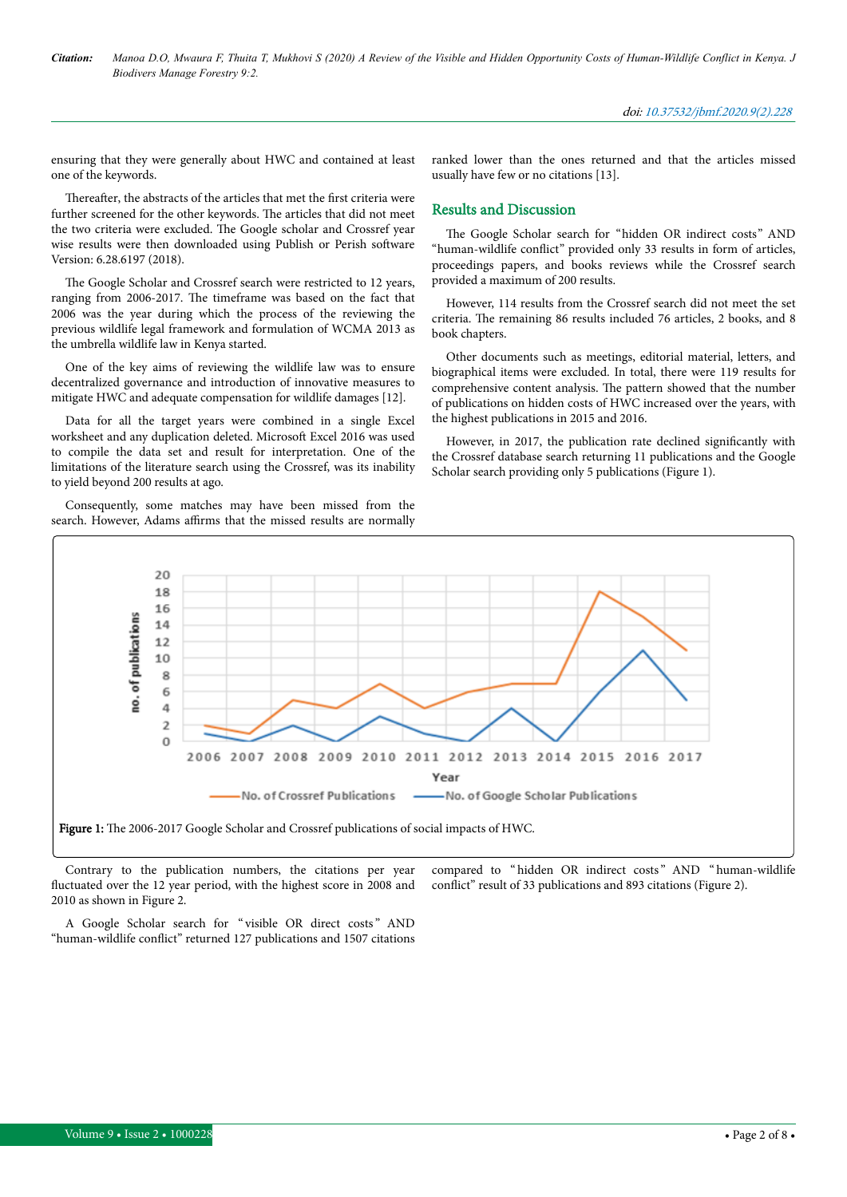ensuring that they were generally about HWC and contained at least one of the keywords.

Thereafter, the abstracts of the articles that met the first criteria were further screened for the other keywords. Нe articles that did not meet the two criteria were excluded. Нe Google scholar and Crossref year wise results were then downloaded using Publish or Perish software Version: 6.28.6197 (2018).

The Google Scholar and Crossref search were restricted to 12 years, ranging from 2006-2017. Нe timeframe was based on the fact that 2006 was the year during which the process of the reviewing the previous wildlife legal framework and formulation of WCMA 2013 as the umbrella wildlife law in Kenya started.

One of the key aims of reviewing the wildlife law was to ensure decentralized governance and introduction of innovative measures to mitigate HWC and adequate compensation for wildlife damages [12].

Data for all the target years were combined in a single Excel worksheet and any duplication deleted. Microsoft Excel 2016 was used to compile the data set and result for interpretation. One of the limitations of the literature search using the Crossref, was its inability to yield beyond 200 results at ago.

Consequently, some matches may have been missed from the search. However, Adams affirms that the missed results are normally

ranked lower than the ones returned and that the articles missed usually have few or no citations [13].

#### Results and Discussion

The Google Scholar search for "hidden OR indirect costs" AND "human-wildlife conflict" provided only 33 results in form of articles, proceedings papers, and books reviews while the Crossref search provided a maximum of 200 results.

However, 114 results from the Crossref search did not meet the set criteria. Нe remaining 86 results included 76 articles, 2 books, and 8 book chapters.

Other documents such as meetings, editorial material, letters, and biographical items were excluded. In total, there were 119 results for comprehensive content analysis. Нe pattern showed that the number of publications on hidden costs of HWC increased over the years, with the highest publications in 2015 and 2016.

However, in 2017, the publication rate declined significantly with the Crossref database search returning 11 publications and the Google Scholar search providing only 5 publications (Figure 1).



Figure 1: The 2006-2017 Google Scholar and Crossref publications of social impacts of HWC.

Contrary to the publication numbers, the citations per year fluctuated over the 12 year period, with the highest score in 2008 and 2010 as shown in Figure 2.

compared to "hidden OR indirect costs" AND "human-wildlife conflict" result of 33 publications and 893 citations (Figure 2).

A Google Scholar search for " visible OR direct costs " AND "human-wildlife conflict" returned 127 publications and 1507 citations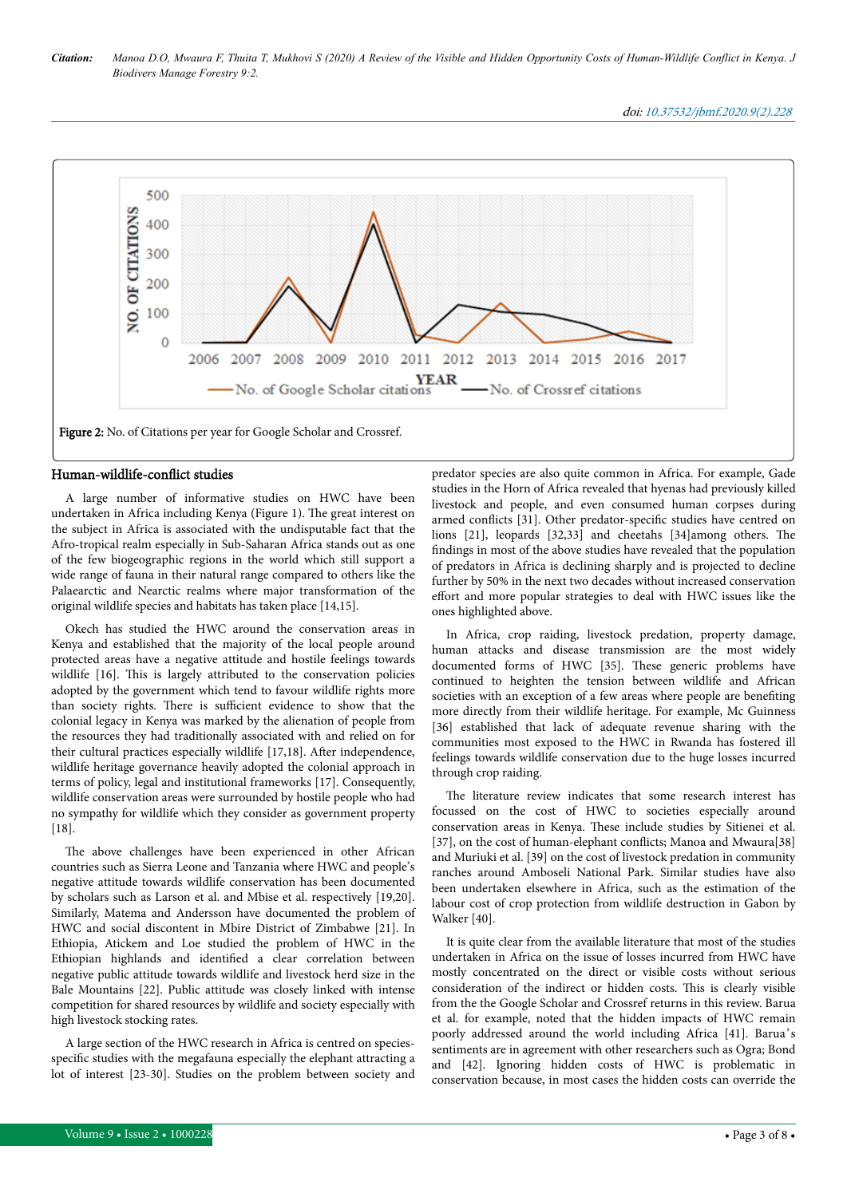doi: 10.37532/jbmf.2020.9(2).228



#### Human-wildlife-conflict studies

A large number of informative studies on HWC have been undertaken in Africa including Kenya (Figure 1). Нe great interest on the subject in Africa is associated with the undisputable fact that the Afro-tropical realm especially in Sub-Saharan Africa stands out as one of the few biogeographic regions in the world which still support a wide range of fauna in their natural range compared to others like the Palaearctic and Nearctic realms where major transformation of the original wildlife species and habitats has taken place [14,15].

Okech has studied the HWC around the conservation areas in Kenya and established that the majority of the local people around protected areas have a negative attitude and hostile feelings towards wildlife [16]. Нis is largely attributed to the conservation policies adopted by the government which tend to favour wildlife rights more than society rights. Нere is sufficient evidence to show that the colonial legacy in Kenya was marked by the alienation of people from the resources they had traditionally associated with and relied on for their cultural practices especially wildlife [17,18]. After independence, wildlife heritage governance heavily adopted the colonial approach in terms of policy, legal and institutional frameworks [17]. Consequently, wildlife conservation areas were surrounded by hostile people who had no sympathy for wildlife which they consider as government property [18].

The above challenges have been experienced in other African countries such as Sierra Leone and Tanzania where HWC and people's negative attitude towards wildlife conservation has been documented by scholars such as Larson et al. and Mbise et al. respectively [19,20]. Similarly, Matema and Andersson have documented the problem of HWC and social discontent in Mbire District of Zimbabwe [21]. In Ethiopia, Atickem and Loe studied the problem of HWC in the Ethiopian highlands and identified a clear correlation between negative public attitude towards wildlife and livestock herd size in the Bale Mountains [22]. Public attitude was closely linked with intense competition for shared resources by wildlife and society especially with high livestock stocking rates.

A large section of the HWC research in Africa is centred on speciesspecific studies with the megafauna especially the elephant attracting a lot of interest [23-30]. Studies on the problem between society and

predator species are also quite common in Africa. For example, Gade studies in the Horn of Africa revealed that hyenas had previously killed livestock and people, and even consumed human corpses during armed conflicts [31]. Other predator-specific studies have centred on lions [21], leopards [32,33] and cheetahs [34]among others. Нe findings in most of the above studies have revealed that the population of predators in Africa is declining sharply and is projected to decline further by 50% in the next two decades without increased conservation effort and more popular strategies to deal with HWC issues like the ones highlighted above.

In Africa, crop raiding, livestock predation, property damage, human attacks and disease transmission are the most widely documented forms of HWC [35]. Нese generic problems have continued to heighten the tension between wildlife and African societies with an exception of a few areas where people are benefiting more directly from their wildlife heritage. For example, Mc Guinness [36] established that lack of adequate revenue sharing with the communities most exposed to the HWC in Rwanda has fostered ill feelings towards wildlife conservation due to the huge losses incurred through crop raiding.

The literature review indicates that some research interest has focussed on the cost of HWC to societies especially around conservation areas in Kenya. Нese include studies by Sitienei et al. [37], on the cost of human-elephant conflicts; Manoa and Mwaura[38] and Muriuki et al. [39] on the cost of livestock predation in community ranches around Amboseli National Park. Similar studies have also been undertaken elsewhere in Africa, such as the estimation of the labour cost of crop protection from wildlife destruction in Gabon by Walker [40].

It is quite clear from the available literature that most of the studies undertaken in Africa on the issue of losses incurred from HWC have mostly concentrated on the direct or visible costs without serious consideration of the indirect or hidden costs. Нis is clearly visible from the the Google Scholar and Crossref returns in this review. Barua et al. for example, noted that the hidden impacts of HWC remain poorly addressed around the world including Africa [41]. Barua's sentiments are in agreement with other researchers such as Ogra; Bond and [42]. Ignoring hidden costs of HWC is problematic in conservation because, in most cases the hidden costs can override the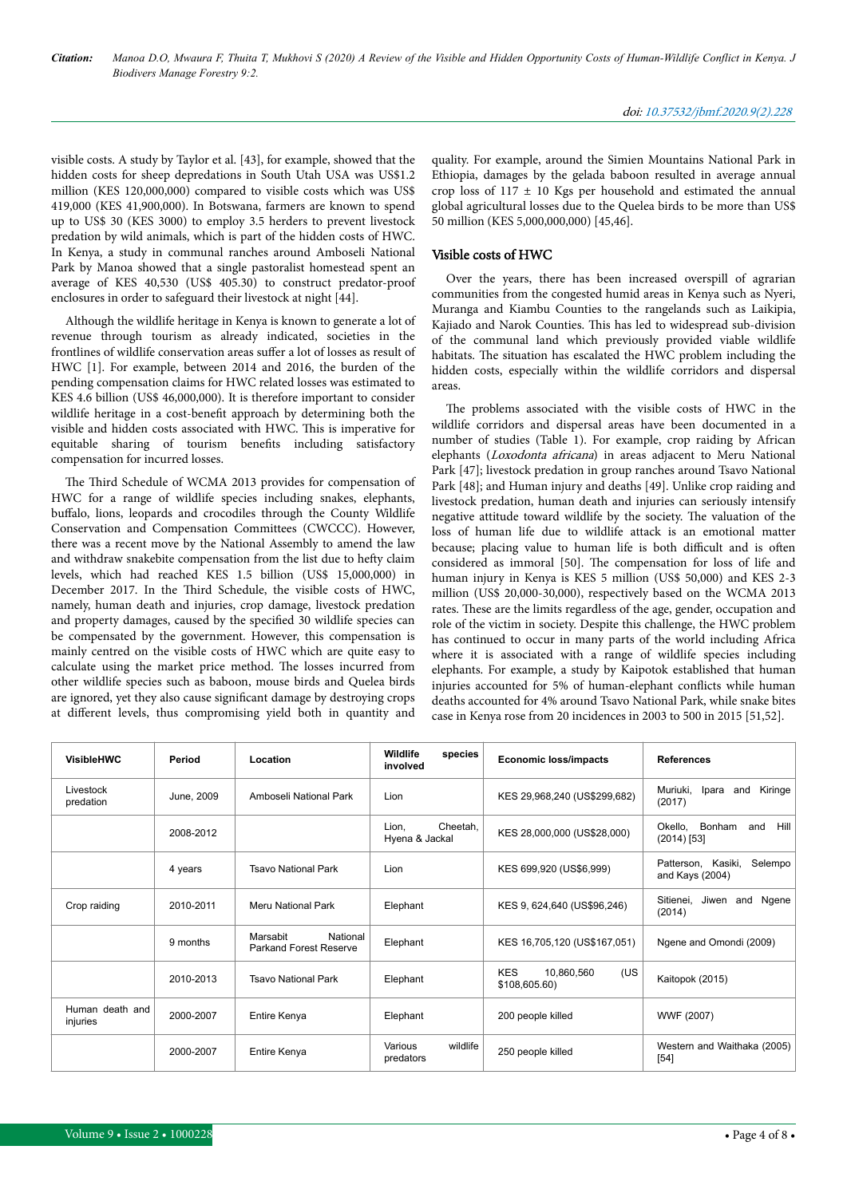visible costs. A study by Taylor et al. [43], for example, showed that the hidden costs for sheep depredations in South Utah USA was US\$1.2 million (KES 120,000,000) compared to visible costs which was US\$ 419,000 (KES 41,900,000). In Botswana, farmers are known to spend up to US\$ 30 (KES 3000) to employ 3.5 herders to prevent livestock predation by wild animals, which is part of the hidden costs of HWC. In Kenya, a study in communal ranches around Amboseli National Park by Manoa showed that a single pastoralist homestead spent an average of KES 40,530 (US\$ 405.30) to construct predator-proof enclosures in order to safeguard their livestock at night [44].

Although the wildlife heritage in Kenya is known to generate a lot of revenue through tourism as already indicated, societies in the frontlines of wildlife conservation areas suffer a lot of losses as result of HWC [1]. For example, between 2014 and 2016, the burden of the pending compensation claims for HWC related losses was estimated to KES 4.6 billion (US\$ 46,000,000). It is therefore important to consider wildlife heritage in a cost-benefit approach by determining both the visible and hidden costs associated with HWC. Нis is imperative for equitable sharing of tourism benefits including satisfactory compensation for incurred losses.

The Third Schedule of WCMA 2013 provides for compensation of HWC for a range of wildlife species including snakes, elephants, buffalo, lions, leopards and crocodiles through the County Wildlife Conservation and Compensation Committees (CWCCC). However, there was a recent move by the National Assembly to amend the law and withdraw snakebite compensation from the list due to hefty claim levels, which had reached KES 1.5 billion (US\$ 15,000,000) in December 2017. In the Нird Schedule, the visible costs of HWC, namely, human death and injuries, crop damage, livestock predation and property damages, caused by the specified 30 wildlife species can be compensated by the government. However, this compensation is mainly centred on the visible costs of HWC which are quite easy to calculate using the market price method. Нe losses incurred from other wildlife species such as baboon, mouse birds and Quelea birds are ignored, yet they also cause significant damage by destroying crops at different levels, thus compromising yield both in quantity and

quality. For example, around the Simien Mountains National Park in Ethiopia, damages by the gelada baboon resulted in average annual crop loss of  $117 \pm 10$  Kgs per household and estimated the annual global agricultural losses due to the Quelea birds to be more than US\$ 50 million (KES 5,000,000,000) [45,46].

#### Visible costs of HWC

Over the years, there has been increased overspill of agrarian communities from the congested humid areas in Kenya such as Nyeri, Muranga and Kiambu Counties to the rangelands such as Laikipia, Kajiado and Narok Counties. Нis has led to widespread sub-division of the communal land which previously provided viable wildlife habitats. Нe situation has escalated the HWC problem including the hidden costs, especially within the wildlife corridors and dispersal areas.

The problems associated with the visible costs of HWC in the wildlife corridors and dispersal areas have been documented in a number of studies (Table 1). For example, crop raiding by African elephants (Loxodonta africana) in areas adjacent to Meru National Park [47]; livestock predation in group ranches around Tsavo National Park [48]; and Human injury and deaths [49]. Unlike crop raiding and livestock predation, human death and injuries can seriously intensify negative attitude toward wildlife by the society. Нe valuation of the loss of human life due to wildlife attack is an emotional matter because; placing value to human life is both difficult and is often considered as immoral [50]. Нe compensation for loss of life and human injury in Kenya is KES 5 million (US\$ 50,000) and KES 2-3 million (US\$ 20,000-30,000), respectively based on the WCMA 2013 rates. These are the limits regardless of the age, gender, occupation and role of the victim in society. Despite this challenge, the HWC problem has continued to occur in many parts of the world including Africa where it is associated with a range of wildlife species including elephants. For example, a study by Kaipotok established that human injuries accounted for 5% of human-elephant conflicts while human deaths accounted for 4% around Tsavo National Park, while snake bites case in Kenya rose from 20 incidences in 2003 to 500 in 2015 [51,52].

| <b>VisibleHWC</b>           | Period     | Location                                              | Wildlife<br>species<br>involved     | <b>Economic loss/impacts</b>                     | <b>References</b>                                 |
|-----------------------------|------------|-------------------------------------------------------|-------------------------------------|--------------------------------------------------|---------------------------------------------------|
| Livestock<br>predation      | June, 2009 | Amboseli National Park                                | Lion                                | KES 29,968,240 (US\$299,682)                     | Kiringe<br>Muriuki,<br>Ipara<br>and<br>(2017)     |
|                             | 2008-2012  |                                                       | Cheetah,<br>Lion.<br>Hyena & Jackal | KES 28,000,000 (US\$28,000)                      | Okello,<br>Bonham<br>and<br>Hill<br>$(2014)$ [53] |
|                             | 4 years    | <b>Tsavo National Park</b>                            | Lion                                | KES 699,920 (US\$6,999)                          | Selempo<br>Patterson, Kasiki,<br>and Kays (2004)  |
| Crop raiding                | 2010-2011  | Meru National Park                                    | Elephant                            | KES 9, 624,640 (US\$96,246)                      | Sitienei, Jiwen<br>and<br>Ngene<br>(2014)         |
|                             | 9 months   | National<br>Marsabit<br><b>Parkand Forest Reserve</b> | Elephant                            | KES 16,705,120 (US\$167,051)                     | Ngene and Omondi (2009)                           |
|                             | 2010-2013  | <b>Tsavo National Park</b>                            | Elephant                            | <b>KES</b><br>(US<br>10,860,560<br>\$108,605.60) | Kaitopok (2015)                                   |
| Human death and<br>injuries | 2000-2007  | Entire Kenya                                          | Elephant                            | 200 people killed                                | WWF (2007)                                        |
|                             | 2000-2007  | Entire Kenya                                          | wildlife<br>Various<br>predators    | 250 people killed                                | Western and Waithaka (2005)<br>$[54]$             |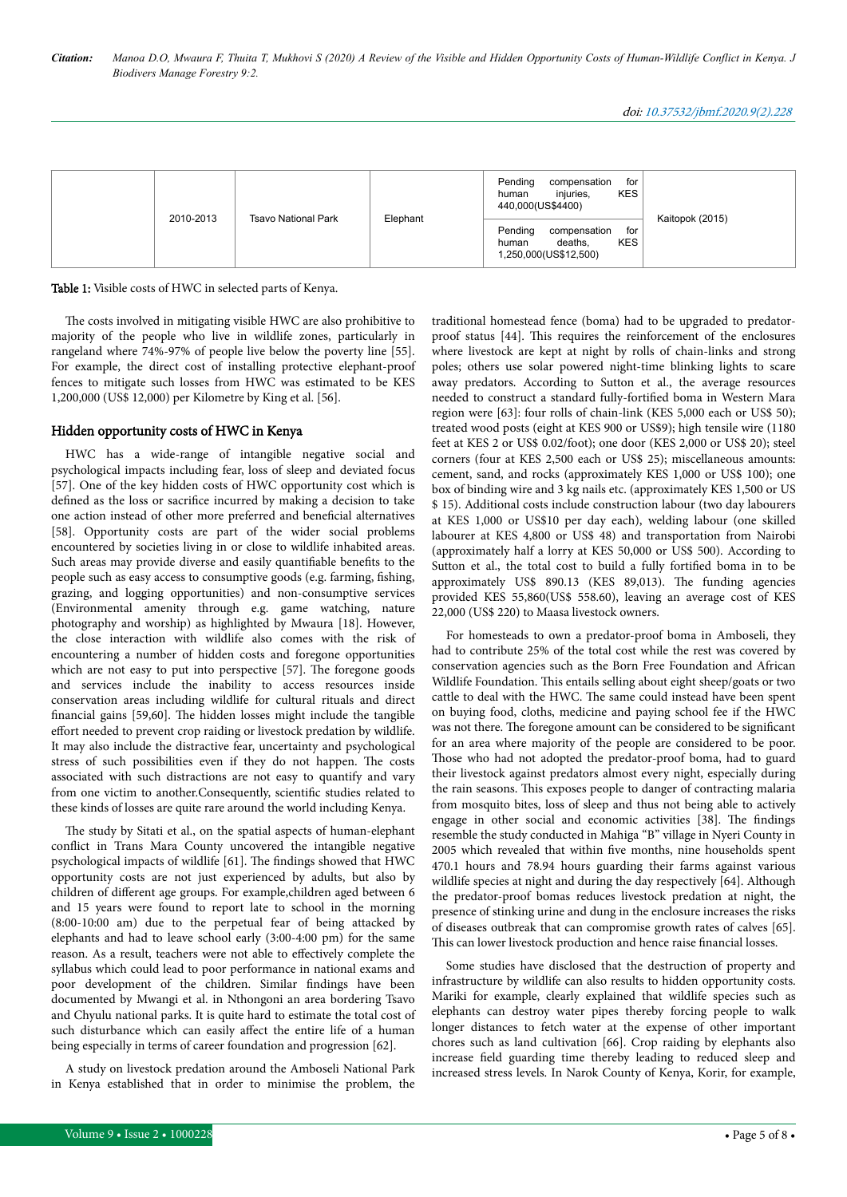|  | 2010-2013 | <b>Tsavo National Park</b> | Elephant | Pending<br>for<br>compensation<br><b>KES</b><br>injuries,<br>human<br>440,000(US\$4400)   | Kaitopok (2015) |
|--|-----------|----------------------------|----------|-------------------------------------------------------------------------------------------|-----------------|
|  |           |                            |          | Pending<br>for<br>compensation<br><b>KES</b><br>deaths.<br>human<br>1,250,000(US\$12,500) |                 |

Table 1: Visible costs of HWC in selected parts of Kenya.

The costs involved in mitigating visible HWC are also prohibitive to majority of the people who live in wildlife zones, particularly in rangeland where 74%-97% of people live below the poverty line [55]. For example, the direct cost of installing protective elephant-proof fences to mitigate such losses from HWC was estimated to be KES 1,200,000 (US\$ 12,000) per Kilometre by King et al. [56].

#### Hidden opportunity costs of HWC in Kenya

HWC has a wide-range of intangible negative social and psychological impacts including fear, loss of sleep and deviated focus [57]. One of the key hidden costs of HWC opportunity cost which is defined as the loss or sacrifice incurred by making a decision to take one action instead of other more preferred and beneficial alternatives [58]. Opportunity costs are part of the wider social problems encountered by societies living in or close to wildlife inhabited areas. Such areas may provide diverse and easily quantifiable benefits to the people such as easy access to consumptive goods (e.g. farming, fishing, grazing, and logging opportunities) and non-consumptive services (Environmental amenity through e.g. game watching, nature photography and worship) as highlighted by Mwaura [18]. However, the close interaction with wildlife also comes with the risk of encountering a number of hidden costs and foregone opportunities which are not easy to put into perspective [57]. Нe foregone goods and services include the inability to access resources inside conservation areas including wildlife for cultural rituals and direct financial gains [59,60]. Нe hidden losses might include the tangible effort needed to prevent crop raiding or livestock predation by wildlife. It may also include the distractive fear, uncertainty and psychological stress of such possibilities even if they do not happen. Нe costs associated with such distractions are not easy to quantify and vary from one victim to another.Consequently, scientific studies related to these kinds of losses are quite rare around the world including Kenya.

The study by Sitati et al., on the spatial aspects of human-elephant conflict in Trans Mara County uncovered the intangible negative psychological impacts of wildlife [61]. Нe findings showed that HWC opportunity costs are not just experienced by adults, but also by children of different age groups. For example, children aged between 6 and 15 years were found to report late to school in the morning (8:00-10:00 am) due to the perpetual fear of being attacked by elephants and had to leave school early (3:00-4:00 pm) for the same reason. As a result, teachers were not able to effectively complete the syllabus which could lead to poor performance in national exams and poor development of the children. Similar findings have been documented by Mwangi et al. in Nthongoni an area bordering Tsavo and Chyulu national parks. It is quite hard to estimate the total cost of such disturbance which can easily affect the entire life of a human being especially in terms of career foundation and progression [62].

A study on livestock predation around the Amboseli National Park in Kenya established that in order to minimise the problem, the traditional homestead fence (boma) had to be upgraded to predatorproof status [44]. Нis requires the reinforcement of the enclosures where livestock are kept at night by rolls of chain-links and strong poles; others use solar powered night-time blinking lights to scare away predators. According to Sutton et al., the average resources needed to construct a standard fully-fortified boma in Western Mara region were [63]: four rolls of chain-link (KES 5,000 each or US\$ 50); treated wood posts (eight at KES 900 or US\$9); high tensile wire (1180 feet at KES 2 or US\$ 0.02/foot); one door (KES 2,000 or US\$ 20); steel corners (four at KES 2,500 each or US\$ 25); miscellaneous amounts: cement, sand, and rocks (approximately KES 1,000 or US\$ 100); one box of binding wire and 3 kg nails etc. (approximately KES 1,500 or US \$ 15). Additional costs include construction labour (two day labourers at KES 1,000 or US\$10 per day each), welding labour (one skilled labourer at KES 4,800 or US\$ 48) and transportation from Nairobi (approximately half a lorry at KES 50,000 or US\$ 500). According to Sutton et al., the total cost to build a fully fortified boma in to be approximately US\$ 890.13 (KES 89,013). Нe funding agencies provided KES 55,860(US\$ 558.60), leaving an average cost of KES 22,000 (US\$ 220) to Maasa livestock owners.

For homesteads to own a predator-proof boma in Amboseli, they had to contribute 25% of the total cost while the rest was covered by conservation agencies such as the Born Free Foundation and African Wildlife Foundation. Нis entails selling about eight sheep/goats or two cattle to deal with the HWC. Нe same could instead have been spent on buying food, cloths, medicine and paying school fee if the HWC was not there. Нe foregone amount can be considered to be significant for an area where majority of the people are considered to be poor. Those who had not adopted the predator-proof boma, had to guard their livestock against predators almost every night, especially during the rain seasons. Нis exposes people to danger of contracting malaria from mosquito bites, loss of sleep and thus not being able to actively engage in other social and economic activities [38]. The findings resemble the study conducted in Mahiga "B" village in Nyeri County in 2005 which revealed that within five months, nine households spent 470.1 hours and 78.94 hours guarding their farms against various wildlife species at night and during the day respectively [64]. Although the predator-proof bomas reduces livestock predation at night, the presence of stinking urine and dung in the enclosure increases the risks of diseases outbreak that can compromise growth rates of calves [65]. This can lower livestock production and hence raise financial losses.

Some studies have disclosed that the destruction of property and infrastructure by wildlife can also results to hidden opportunity costs. Mariki for example, clearly explained that wildlife species such as elephants can destroy water pipes thereby forcing people to walk longer distances to fetch water at the expense of other important chores such as land cultivation [66]. Crop raiding by elephants also increase field guarding time thereby leading to reduced sleep and increased stress levels. In Narok County of Kenya, Korir, for example,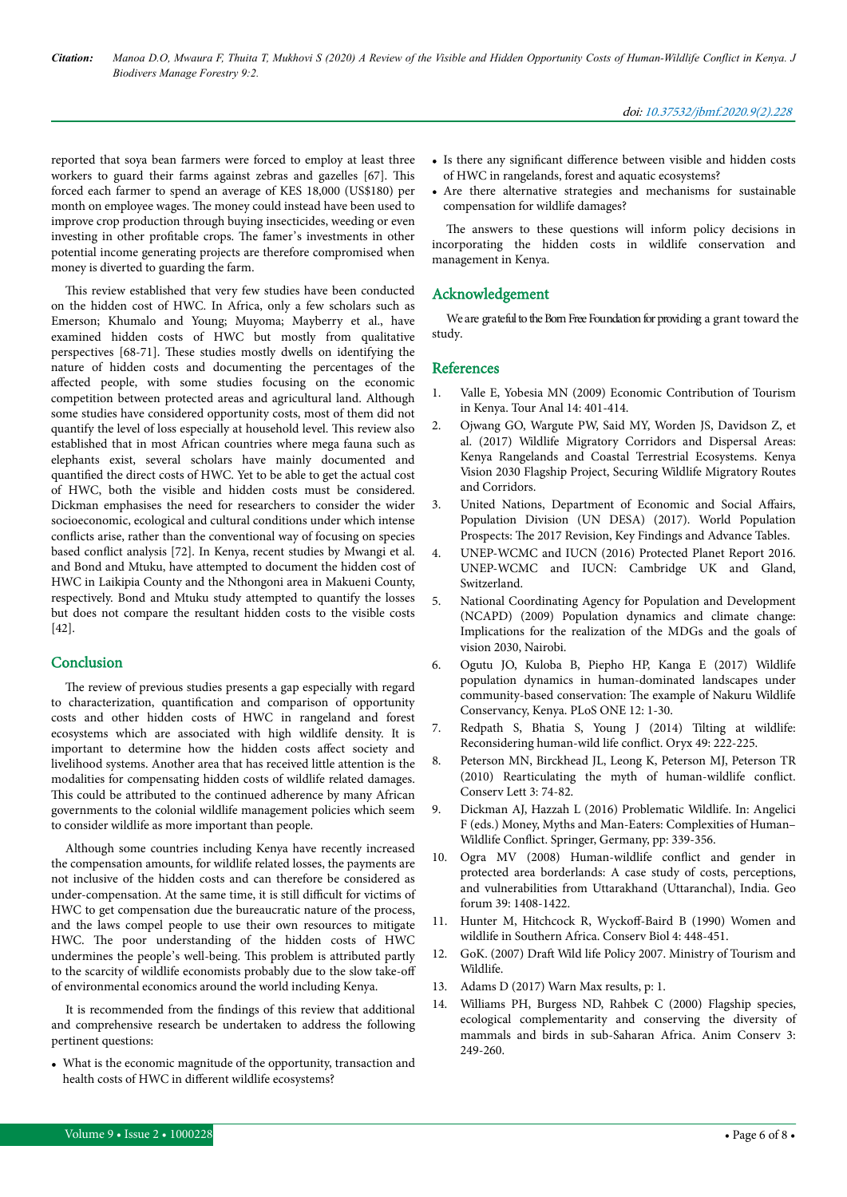reported that soya bean farmers were forced to employ at least three workers to guard their farms against zebras and gazelles [67]. Нis forced each farmer to spend an average of KES 18,000 (US\$180) per month on employee wages. Нe money could instead have been used to improve crop production through buying insecticides, weeding or even investing in other profitable crops. Нe famer's investments in other potential income generating projects are therefore compromised when money is diverted to guarding the farm.

This review established that very few studies have been conducted on the hidden cost of HWC. In Africa, only a few scholars such as Emerson; Khumalo and Young; Muyoma; Mayberry et al., have examined hidden costs of HWC but mostly from qualitative perspectives [68-71]. Нese studies mostly dwells on identifying the nature of hidden costs and documenting the percentages of the affected people, with some studies focusing on the economic competition between protected areas and agricultural land. Although some studies have considered opportunity costs, most of them did not quantify the level of loss especially at household level. Нis review also established that in most African countries where mega fauna such as elephants exist, several scholars have mainly documented and quantified the direct costs of HWC. Yet to be able to get the actual cost of HWC, both the visible and hidden costs must be considered. Dickman emphasises the need for researchers to consider the wider socioeconomic, ecological and cultural conditions under which intense conflicts arise, rather than the conventional way of focusing on species based conflict analysis [72]. In Kenya, recent studies by Mwangi et al. and Bond and Mtuku, have attempted to document the hidden cost of HWC in Laikipia County and the Nthongoni area in Makueni County, respectively. Bond and Mtuku study attempted to quantify the losses but does not compare the resultant hidden costs to the visible costs [42].

### **Conclusion**

The review of previous studies presents a gap especially with regard to characterization, quantification and comparison of opportunity costs and other hidden costs of HWC in rangeland and forest ecosystems which are associated with high wildlife density. It is important to determine how the hidden costs affect society and livelihood systems. Another area that has received little attention is the modalities for compensating hidden costs of wildlife related damages. This could be attributed to the continued adherence by many African governments to the colonial wildlife management policies which seem to consider wildlife as more important than people.

Although some countries including Kenya have recently increased the compensation amounts, for wildlife related losses, the payments are not inclusive of the hidden costs and can therefore be considered as under-compensation. At the same time, it is still difficult for victims of HWC to get compensation due the bureaucratic nature of the process, and the laws compel people to use their own resources to mitigate HWC. The poor understanding of the hidden costs of HWC undermines the people's well-being. Нis problem is attributed partly to the scarcity of wildlife economists probably due to the slow take-off of environmental economics around the world including Kenya.

It is recommended from the findings of this review that additional and comprehensive research be undertaken to address the following pertinent questions:

• What is the economic magnitude of the opportunity, transaction and health costs of HWC in different wildlife ecosystems?

- Is there any significant difference between visible and hidden costs of HWC in rangelands, forest and aquatic ecosystems?
- Are there alternative strategies and mechanisms for sustainable compensation for wildlife damages?

The answers to these questions will inform policy decisions in incorporating the hidden costs in wildlife conservation and management in Kenya.

#### Acknowledgement

We are grateful to the Born Free Foundation for providing a grant toward the study.

#### References

- 1. [Valle E, Yobesia MN \(2009\) Economic Contribution of Tourism](https://pdfs.semanticscholar.org/2c5c/5aa436d16ffbd9f9eb07cf82f973524383b0.pdf) [in Kenya. Tour Anal 14: 401-414](https://pdfs.semanticscholar.org/2c5c/5aa436d16ffbd9f9eb07cf82f973524383b0.pdf).
- 2. Ojwang GO, Wargute PW, Said MY, Worden JS, Davidson Z, et al. (2017) Wildlife Migratory Corridors and Dispersal Areas: Kenya Rangelands and Coastal Terrestrial Ecosystems. Kenya Vision 2030 Flagship Project, Securing Wildlife Migratory Routes and Corridors.
- 3. [United Nations, Department of Economic and Social](https://population.un.org/wpp/publications/Files/WPP2017_KeyFindings.pdf) Affairs, [Population Division \(UN DESA\) \(2017\). World Population](https://population.un.org/wpp/publications/Files/WPP2017_KeyFindings.pdf) Prospects: The [2017 Revision, Key Findings and Advance Tables.](https://population.un.org/wpp/publications/Files/WPP2017_KeyFindings.pdf)
- 4. UNEP-WCMC and IUCN (2016) Protected Planet Report 2016. UNEP-WCMC and IUCN: Cambridge UK and Gland, Switzerland.
- 5. National Coordinating Agency for Population and Development (NCAPD) (2009) Population dynamics and climate change: Implications for the realization of the MDGs and the goals of vision 2030, Nairobi.
- 6. [Ogutu JO, Kuloba B, Piepho HP, Kanga E \(2017\) Wildlife](https://journals.plos.org/plosone/article/file?id=10.1371/journal.pone.0169730&type=printable) [population dynamics in human-dominated landscapes under](https://journals.plos.org/plosone/article/file?id=10.1371/journal.pone.0169730&type=printable) [community-based conservation:](https://journals.plos.org/plosone/article/file?id=10.1371/journal.pone.0169730&type=printable) Нe example of Nakuru Wildlife [Conservancy, Kenya. PLoS ONE 12: 1-30](https://journals.plos.org/plosone/article/file?id=10.1371/journal.pone.0169730&type=printable).
- 7. [Redpath S, Bhatia S, Young J \(2014\) Tilting at wildlife:](https://www.cambridge.org/core/services/aop-cambridge-core/content/view/8CBF762319F5340BA6A7A8D3721F867A/S0030605314000799a.pdf/tilting_at_wildlife_reconsidering_humanwildlife_conflict.pdf) [Reconsidering human-wild life](https://www.cambridge.org/core/services/aop-cambridge-core/content/view/8CBF762319F5340BA6A7A8D3721F867A/S0030605314000799a.pdf/tilting_at_wildlife_reconsidering_humanwildlife_conflict.pdf) conflict. Oryx 49: 222-225.
- 8. [Peterson MN, Birckhead JL, Leong K, Peterson MJ, Peterson TR](http://www.indiaenvironmentportal.org.in/files/Rearticulating%20the%20myth%20of%20human%20wildlife%20conflict.pdf) [\(2010\) Rearticulating the myth of human-wildlife](http://www.indiaenvironmentportal.org.in/files/Rearticulating%20the%20myth%20of%20human%20wildlife%20conflict.pdf) conflict. [Conserv Lett 3: 74-82](http://www.indiaenvironmentportal.org.in/files/Rearticulating%20the%20myth%20of%20human%20wildlife%20conflict.pdf).
- 9. [Dickman AJ, Hazzah L \(2016\) Problematic Wildlife. In: Angelici](https://books.google.co.in/books/about/Problematic_Wildlife.html?id=S1c-CwAAQBAJ&printsec=frontcover&source=kp_read_button&redir_esc=y) [F \(eds.\) Money, Myths and Man-Eaters: Complexities of Human–](https://books.google.co.in/books/about/Problematic_Wildlife.html?id=S1c-CwAAQBAJ&printsec=frontcover&source=kp_read_button&redir_esc=y) Wildlife Conflict. [Springer, Germany, pp: 339-356](https://books.google.co.in/books/about/Problematic_Wildlife.html?id=S1c-CwAAQBAJ&printsec=frontcover&source=kp_read_button&redir_esc=y).
- 10. [Ogra MV \(2008\) Human-wildlife](https://www.sciencedirect.com/science/article/pii/S0016718507002102) conflict and gender in [protected area borderlands: A case study of costs, perceptions,](https://www.sciencedirect.com/science/article/pii/S0016718507002102) [and vulnerabilities from Uttarakhand \(Uttaranchal\), India. Geo](https://www.sciencedirect.com/science/article/pii/S0016718507002102) [forum 39: 1408-1422.](https://www.sciencedirect.com/science/article/pii/S0016718507002102)
- 11. [Hunter M, Hitchcock R,](https://conbio.onlinelibrary.wiley.com/doi/abs/10.1111/j.1523-1739.1990.tb00321.x) Wyckoff-Baird B (1990) Women and [wildlife in Southern Africa. Conserv Biol 4: 448-451](https://conbio.onlinelibrary.wiley.com/doi/abs/10.1111/j.1523-1739.1990.tb00321.x).
- 12. GoK. (2007) Draft Wild life Policy 2007. Ministry of Tourism and Wildlife.
- 13. [Adams D \(2017\) Warn Max results, p: 1.](https://harzing.com/resources/publish-or-perish/manual/reference/messages/warn-maxresults?source=pop_6.28.6197.6663)
- 14. [Williams PH, Burgess ND, Rahbek C \(2000\) Flagship species,](https://zslpublications.onlinelibrary.wiley.com/doi/10.1111/j.1469-1795.2000.tb00110.x) [ecological complementarity and conserving the diversity of](https://zslpublications.onlinelibrary.wiley.com/doi/10.1111/j.1469-1795.2000.tb00110.x) [mammals and birds in sub-Saharan Africa. Anim Conserv 3:](https://zslpublications.onlinelibrary.wiley.com/doi/10.1111/j.1469-1795.2000.tb00110.x) [249-260.](https://zslpublications.onlinelibrary.wiley.com/doi/10.1111/j.1469-1795.2000.tb00110.x)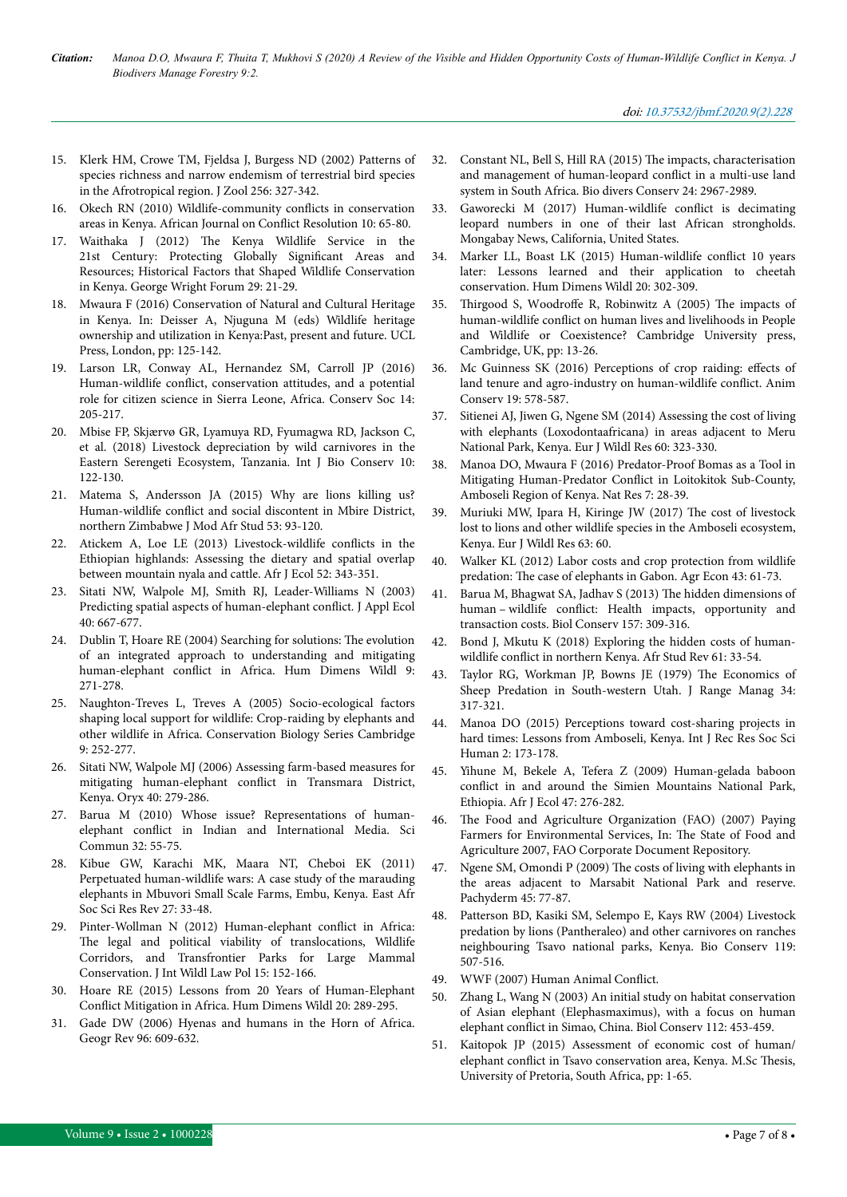- 15. [Klerk HM, Crowe TM, Fjeldsa J, Burgess ND \(2002\) Patterns of](https://zslpublications.onlinelibrary.wiley.com/doi/abs/10.1017/S0952836902000365) [species richness and narrow endemism of terrestrial bird species](https://zslpublications.onlinelibrary.wiley.com/doi/abs/10.1017/S0952836902000365) [in the Afrotropical region. J Zool 256: 327-342](https://zslpublications.onlinelibrary.wiley.com/doi/abs/10.1017/S0952836902000365).
- 16. [Okech RN \(2010\) Wildlife-community](https://pdfs.semanticscholar.org/bc47/438ec36f21d5b864974b588640fe925941fe.pdf?_ga=2.159064242.966507938.1581922434-47841860.1573035649) conflicts in conservation [areas in Kenya. African Journal on](https://pdfs.semanticscholar.org/bc47/438ec36f21d5b864974b588640fe925941fe.pdf?_ga=2.159064242.966507938.1581922434-47841860.1573035649) Conflict Resolution 10: 65-80.
- 17. Waithaka J (2012) Нe [Kenya Wildlife Service in the](http://www.georgewright.org/291waithaka.pdf) [21st Century: Protecting Globally](http://www.georgewright.org/291waithaka.pdf) 6ignificant Areas and [Resources; Historical Factors that Shaped Wildlife Conservation](http://www.georgewright.org/291waithaka.pdf) [in Kenya. George Wright Forum 29: 21-29](http://www.georgewright.org/291waithaka.pdf).
- 18. [Mwaura F \(2016\) Conservation of Natural and Cultural Heritage](https://www.jstor.org/stable/j.ctt1gxxpc6.15?refreqid=excelsior%3Ad9cd9a11cfee178d7e02f4118571b442&seq=1) [in Kenya. In: Deisser A, Njuguna M \(eds\) Wildlife heritage](https://www.jstor.org/stable/j.ctt1gxxpc6.15?refreqid=excelsior%3Ad9cd9a11cfee178d7e02f4118571b442&seq=1) [ownership and utilization in Kenya:Past, present and future. UCL](https://www.jstor.org/stable/j.ctt1gxxpc6.15?refreqid=excelsior%3Ad9cd9a11cfee178d7e02f4118571b442&seq=1) [Press, London, pp: 125-142.](https://www.jstor.org/stable/j.ctt1gxxpc6.15?refreqid=excelsior%3Ad9cd9a11cfee178d7e02f4118571b442&seq=1)
- 19. [Larson LR, Conway AL, Hernandez SM, Carroll JP \(2016\)](http://www.conservationandsociety.org/article.asp?issn=0972-4923;year=2016;volume=14;issue=3;spage=205;epage=217;aulast=Larson) Human-wildlife conflict, [conservation attitudes, and a potential](http://www.conservationandsociety.org/article.asp?issn=0972-4923;year=2016;volume=14;issue=3;spage=205;epage=217;aulast=Larson) [role for citizen science in Sierra Leone, Africa. Conserv Soc 14:](http://www.conservationandsociety.org/article.asp?issn=0972-4923;year=2016;volume=14;issue=3;spage=205;epage=217;aulast=Larson) [205-217.](http://www.conservationandsociety.org/article.asp?issn=0972-4923;year=2016;volume=14;issue=3;spage=205;epage=217;aulast=Larson)
- 20. [Mbise FP, Skjærvø GR, Lyamuya RD, Fyumagwa RD, Jackson C,](https://pdfs.semanticscholar.org/4449/28930698284ea14675a3c9c02a1ccd1332ce.pdf) [et al. \(2018\) Livestock depreciation by wild carnivores in the](https://pdfs.semanticscholar.org/4449/28930698284ea14675a3c9c02a1ccd1332ce.pdf) [Eastern Serengeti Ecosystem, Tanzania. Int J Bio Conserv 10:](https://pdfs.semanticscholar.org/4449/28930698284ea14675a3c9c02a1ccd1332ce.pdf) [122-130.](https://pdfs.semanticscholar.org/4449/28930698284ea14675a3c9c02a1ccd1332ce.pdf)
- 21. [Matema S, Andersson JA \(2015\) Why are lions killing us?](https://www.cambridge.org/core/journals/journal-of-modern-african-studies/article/why-are-lions-killing-us-humanwildlife-conflict-and-social-discontent-in-mbire-district-northern-zimbabwe/BDB0D099B251BC794C0BDE9CC42D892D) Human-wildlife conflict [and social discontent in Mbire District,](https://www.cambridge.org/core/journals/journal-of-modern-african-studies/article/why-are-lions-killing-us-humanwildlife-conflict-and-social-discontent-in-mbire-district-northern-zimbabwe/BDB0D099B251BC794C0BDE9CC42D892D) [northern Zimbabwe J Mod Afr Stud 53: 93-120.](https://www.cambridge.org/core/journals/journal-of-modern-african-studies/article/why-are-lions-killing-us-humanwildlife-conflict-and-social-discontent-in-mbire-district-northern-zimbabwe/BDB0D099B251BC794C0BDE9CC42D892D)
- 22. [Atickem A, Loe LE \(2013\) Livestock-wildlife](https://www.tib.eu/en/search/id/wiley%3Adoi~10.1111%252FAJE.12126/Livestock-wildlife-conflicts-in-the-Ethiopian-highlands/) conflicts in the [Ethiopian highlands: Assessing the dietary and spatial overlap](https://www.tib.eu/en/search/id/wiley%3Adoi~10.1111%252FAJE.12126/Livestock-wildlife-conflicts-in-the-Ethiopian-highlands/) [between mountain nyala and cattle. Afr J Ecol 52: 343-351](https://www.tib.eu/en/search/id/wiley%3Adoi~10.1111%252FAJE.12126/Livestock-wildlife-conflicts-in-the-Ethiopian-highlands/).
- 23. [Sitati NW, Walpole MJ, Smith RJ, Leader-Williams N \(2003\)](https://www.academia.edu/19526484/Predicting_spatial_aspects_of_human-elephant_conflict) [Predicting spatial aspects of human-elephant](https://www.academia.edu/19526484/Predicting_spatial_aspects_of_human-elephant_conflict) conflict. J Appl Ecol [40: 667-677.](https://www.academia.edu/19526484/Predicting_spatial_aspects_of_human-elephant_conflict)
- 24. Dublin T, Hoare RE (2004) Searching for solutions: Нe evolution of an integrated approach to understanding and mitigating human-elephant conflict in Africa. Hum Dimens Wildl 9: 271-278.
- 25. [Naughton-Treves L, Treves A \(2005\) Socio-ecological factors](http://faculty.nelson.wisc.edu/treves/pubs/2005naughtontrevesltrevesa.pdf) [shaping local support for wildlife: Crop-raiding by elephants and](http://faculty.nelson.wisc.edu/treves/pubs/2005naughtontrevesltrevesa.pdf) [other wildlife in Africa. Conservation Biology Series Cambridge](http://faculty.nelson.wisc.edu/treves/pubs/2005naughtontrevesltrevesa.pdf) [9: 252-277](http://faculty.nelson.wisc.edu/treves/pubs/2005naughtontrevesltrevesa.pdf).
- 26. [Sitati NW, Walpole MJ \(2006\) Assessing farm-based measures for](https://www.cambridge.org/core/services/aop-cambridge-core/content/view/18B2CD410EFFA3353DFF228F30DB1D1C/S0030605306000834a.pdf/assessing_farmbased_measures_for_mitigating_humanelephant_conflict_in_transmara_district_kenya.pdf) [mitigating human-elephant](https://www.cambridge.org/core/services/aop-cambridge-core/content/view/18B2CD410EFFA3353DFF228F30DB1D1C/S0030605306000834a.pdf/assessing_farmbased_measures_for_mitigating_humanelephant_conflict_in_transmara_district_kenya.pdf) conflict in Transmara District, [Kenya. Oryx 40: 279-286.](https://www.cambridge.org/core/services/aop-cambridge-core/content/view/18B2CD410EFFA3353DFF228F30DB1D1C/S0030605306000834a.pdf/assessing_farmbased_measures_for_mitigating_humanelephant_conflict_in_transmara_district_kenya.pdf)
- 27. [Barua M \(2010\) Whose issue? Representations of human](https://www.academia.edu/708792/Whose_Issue_Representations_of_Human-Elephant_Conflict_in_Indian_and_International_Media)elephant conflict [in Indian and International Media. Sci](https://www.academia.edu/708792/Whose_Issue_Representations_of_Human-Elephant_Conflict_in_Indian_and_International_Media) [Commun 32: 55-75.](https://www.academia.edu/708792/Whose_Issue_Representations_of_Human-Elephant_Conflict_in_Indian_and_International_Media)
- 28. [Kibue GW, Karachi MK, Maara NT, Cheboi EK \(2011\)](https://www.ajol.info/index.php/eassrr/article/view/63296) [Perpetuated human-wildlife wars: A case study of the marauding](https://www.ajol.info/index.php/eassrr/article/view/63296) [elephants in Mbuvori Small Scale Farms, Embu, Kenya. East Afr](https://www.ajol.info/index.php/eassrr/article/view/63296) [Soc Sci Res Rev 27: 33-48](https://www.ajol.info/index.php/eassrr/article/view/63296).
- 29. [Pinter-Wollman N \(2012\) Human-elephant](http://biocircuits.ucsd.edu/nmpinter/Pinter-Wollman%202012%20JIWLP.pdf) conflict in Africa: The [legal and political viability of translocations, Wildlife](http://biocircuits.ucsd.edu/nmpinter/Pinter-Wollman%202012%20JIWLP.pdf) [Corridors, and Transfrontier Parks for Large Mammal](http://biocircuits.ucsd.edu/nmpinter/Pinter-Wollman%202012%20JIWLP.pdf) [Conservation. J Int Wildl Law Pol 15: 152-166](http://biocircuits.ucsd.edu/nmpinter/Pinter-Wollman%202012%20JIWLP.pdf).
- 30. [Hoare RE \(2015\) Lessons from 20 Years of Human-Elephant](https://www.semanticscholar.org/paper/Lessons-From-20-Years-of-Human%E2%80%93Elephant-Conflict-in-Hoare/35f9040b10fdf21d5e9909bf80368d1ed9dbe490) Conflict [Mitigation in Africa. Hum Dimens Wildl 20: 289-295.](https://www.semanticscholar.org/paper/Lessons-From-20-Years-of-Human%E2%80%93Elephant-Conflict-in-Hoare/35f9040b10fdf21d5e9909bf80368d1ed9dbe490)
- 31. [Gade DW \(2006\) Hyenas and humans in the Horn of Africa.](https://onlinelibrary.wiley.com/doi/abs/10.1111/j.1931-0846.2006.tb00519.x) [Geogr Rev 96: 609-632.](https://onlinelibrary.wiley.com/doi/abs/10.1111/j.1931-0846.2006.tb00519.x)
- 32. [Constant NL, Bell S, Hill RA \(2015\)](https://link.springer.com/article/10.1007/s10531-015-0989-2) Нe impacts, characterisation [and management of human-leopard](https://link.springer.com/article/10.1007/s10531-015-0989-2) conflict in a multi-use land [system in South Africa. Bio divers Conserv 24: 2967-2989](https://link.springer.com/article/10.1007/s10531-015-0989-2).
- 33. [Gaworecki M \(2017\) Human-wildlife](https://news.mongabay.com/2017/05/human-wildlife-conflict-is-decimating-leopard-numbers-in-one-of-their-last-african-strongholds/) conflict is decimating [leopard numbers in one of their last African strongholds.](https://news.mongabay.com/2017/05/human-wildlife-conflict-is-decimating-leopard-numbers-in-one-of-their-last-african-strongholds/) [Mongabay News, California, United States](https://news.mongabay.com/2017/05/human-wildlife-conflict-is-decimating-leopard-numbers-in-one-of-their-last-african-strongholds/).
- 34. [Marker LL, Boast LK \(2015\) Human-wildlife](https://cheetah.org/resource-library/human-wildlife-conflict-10-years-later-lessons-learned-and-their-application-to-cheetah-conservation/) conflict 10 years [later: Lessons learned and their application to cheetah](https://cheetah.org/resource-library/human-wildlife-conflict-10-years-later-lessons-learned-and-their-application-to-cheetah-conservation/) [conservation. Hum Dimens Wildl 20: 302-309.](https://cheetah.org/resource-library/human-wildlife-conflict-10-years-later-lessons-learned-and-their-application-to-cheetah-conservation/)
- 35. Thirgood S, Woodroffe [R, Robinwitz A \(2005\)](https://www.cambridge.org/core/books/people-and-wildlife-conflict-or-coexistence/impact-of-humanwildlife-conflict-on-human-lives-and-livelihoods/8FB022F54119A86265B503E6A52F724B) The impacts of human-wildlife conflict [on human lives and livelihoods in People](https://www.cambridge.org/core/books/people-and-wildlife-conflict-or-coexistence/impact-of-humanwildlife-conflict-on-human-lives-and-livelihoods/8FB022F54119A86265B503E6A52F724B) [and Wildlife or Coexistence? Cambridge University press,](https://www.cambridge.org/core/books/people-and-wildlife-conflict-or-coexistence/impact-of-humanwildlife-conflict-on-human-lives-and-livelihoods/8FB022F54119A86265B503E6A52F724B) [Cambridge, UK, pp: 13-26](https://www.cambridge.org/core/books/people-and-wildlife-conflict-or-coexistence/impact-of-humanwildlife-conflict-on-human-lives-and-livelihoods/8FB022F54119A86265B503E6A52F724B).
- 36. Mc Guinness SK (2016) Perceptions of crop raiding: effects of land tenure and agro-industry on human-wildlife conflict. Anim Conserv 19: 578-587.
- 37. [Sitienei AJ, Jiwen G, Ngene SM \(2014\) Assessing the cost of living](https://link.springer.com/article/10.1007/s10344-013-0789-5) [with elephants \(Loxodontaafricana\) in areas adjacent to Meru](https://link.springer.com/article/10.1007/s10344-013-0789-5) [National Park, Kenya. Eur J Wildl Res 60: 323-330](https://link.springer.com/article/10.1007/s10344-013-0789-5).
- 38. [Manoa DO, Mwaura F \(2016\) Predator-Proof Bomas as a Tool in](https://pdfs.semanticscholar.org/d289/97e1c77ac1244b187eb1c8f22ff4c61024ae.pdf?_ga=2.8975670.2051115876.1581404057-47841860.1573035649) [Mitigating Human-Predator](https://pdfs.semanticscholar.org/d289/97e1c77ac1244b187eb1c8f22ff4c61024ae.pdf?_ga=2.8975670.2051115876.1581404057-47841860.1573035649) Conflict in Loitokitok Sub-County, [Amboseli Region of Kenya. Nat Res 7: 28-39](https://pdfs.semanticscholar.org/d289/97e1c77ac1244b187eb1c8f22ff4c61024ae.pdf?_ga=2.8975670.2051115876.1581404057-47841860.1573035649).
- 39. Muriuki MW, Ipara H, Kiringe JW (2017) Нe cost of livestock lost to lions and other wildlife species in the Amboseli ecosystem, Kenya. Eur J Wildl Res 63: 60.
- 40. [Walker KL \(2012\) Labor costs and crop protection from wildlife](https://onlinelibrary.wiley.com/doi/abs/10.1111/j.1574-0862.2011.00565.x) predation: Нe [case of elephants in Gabon. Agr Econ 43: 61-73.](https://onlinelibrary.wiley.com/doi/abs/10.1111/j.1574-0862.2011.00565.x)
- 41. [Barua M, Bhagwat SA, Jadhav S \(2013\)](https://www.academia.edu/2238296/The_hidden_dimensions_of_human_wildlife_conflict_Health_impacts_opportunity_and_transaction_costs) Нe hidden dimensions of human – wildlife conflict: [Health impacts, opportunity and](https://www.academia.edu/2238296/The_hidden_dimensions_of_human_wildlife_conflict_Health_impacts_opportunity_and_transaction_costs) [transaction costs. Biol Conserv 157: 309-316](https://www.academia.edu/2238296/The_hidden_dimensions_of_human_wildlife_conflict_Health_impacts_opportunity_and_transaction_costs).
- 42. [Bond J, Mkutu K \(2018\) Exploring the hidden costs of human](https://www.cambridge.org/core/journals/african-studies-review/article/exploring-the-hidden-costs-of-humanwildlife-conflict-in-northern-kenya/75AC6FAE117917007449DC2B04E12DC6)wildlife conflict [in northern Kenya. Afr Stud Rev 61: 33-54](https://www.cambridge.org/core/journals/african-studies-review/article/exploring-the-hidden-costs-of-humanwildlife-conflict-in-northern-kenya/75AC6FAE117917007449DC2B04E12DC6).
- 43. [Taylor RG, Workman JP, Bowns JE \(1979\)](https://journals.uair.arizona.edu/index.php/jrm/article/view/6962/6572) Нe Economics of [Sheep Predation in South-western Utah. J Range Manag 34:](https://journals.uair.arizona.edu/index.php/jrm/article/view/6962/6572) [317-321.](https://journals.uair.arizona.edu/index.php/jrm/article/view/6962/6572)
- 44. [Manoa DO \(2015\) Perceptions toward cost-sharing projects in](http://www.paperpublications.org/journalss/IJRRSSH/Issue-4-October-2015-December-2015/0) [hard times: Lessons from Amboseli, Kenya. Int J Rec Res Soc Sci](http://www.paperpublications.org/journalss/IJRRSSH/Issue-4-October-2015-December-2015/0) [Human 2: 173-178.](http://www.paperpublications.org/journalss/IJRRSSH/Issue-4-October-2015-December-2015/0)
- 45. [Yihune M, Bekele A, Tefera Z \(2009\) Human-gelada baboon](https://onlinelibrary.wiley.com/doi/abs/10.1111/j.1365-2028.2007.00917.x) conflict [in and around the Simien Mountains National Park,](https://onlinelibrary.wiley.com/doi/abs/10.1111/j.1365-2028.2007.00917.x) [Ethiopia. Afr J Ecol 47: 276-282.](https://onlinelibrary.wiley.com/doi/abs/10.1111/j.1365-2028.2007.00917.x)
- 46. Нe Food and Agriculture Organization (FAO) (2007) Paying Farmers for Environmental Services, In: Нe State of Food and Agriculture 2007, FAO Corporate Document Repository.
- 47. Ngene SM, Omondi P (2009) Нe [costs of living with elephants in](https://core.ac.uk/download/pdf/29246845.pdf) [the areas adjacent to Marsabit National Park and reserve.](https://core.ac.uk/download/pdf/29246845.pdf) [Pachyderm 45: 77-87](https://core.ac.uk/download/pdf/29246845.pdf).
- 48. [Patterson BD, Kasiki SM, Selempo E, Kays RW \(2004\) Livestock](https://www.sciencedirect.com/science/article/abs/pii/S0006320704000163) [predation by lions \(Pantheraleo\) and other carnivores on ranches](https://www.sciencedirect.com/science/article/abs/pii/S0006320704000163) [neighbouring Tsavo national parks, Kenya. Bio Conserv 119:](https://www.sciencedirect.com/science/article/abs/pii/S0006320704000163) [507-516.](https://www.sciencedirect.com/science/article/abs/pii/S0006320704000163)
- 49. WWF (2007) Human Animal Conflict.
- 50. [Zhang L, Wang N \(2003\) An initial study on habitat conservation](https://www.academia.edu/3008408/An_initial_study_on_habitat_conservation_of_Asian_elephant_Elephas_maximus_with_a_focus_on_human_elephant_conflict_in_Simao_China) [of Asian elephant \(Elephasmaximus\), with a focus on human](https://www.academia.edu/3008408/An_initial_study_on_habitat_conservation_of_Asian_elephant_Elephas_maximus_with_a_focus_on_human_elephant_conflict_in_Simao_China) elephant conflict [in Simao, China. Biol Conserv 112: 453-459](https://www.academia.edu/3008408/An_initial_study_on_habitat_conservation_of_Asian_elephant_Elephas_maximus_with_a_focus_on_human_elephant_conflict_in_Simao_China).
- 51. [Kaitopok JP \(2015\) Assessment of economic cost of human/](https://pdfs.semanticscholar.org/2d31/9b3e0593337a9d0c91a87b6c36238354eb9c.pdf) elephant conflict [in Tsavo conservation area, Kenya. M.Sc](https://pdfs.semanticscholar.org/2d31/9b3e0593337a9d0c91a87b6c36238354eb9c.pdf) Нesis, [University of Pretoria, South Africa, pp: 1-65](https://pdfs.semanticscholar.org/2d31/9b3e0593337a9d0c91a87b6c36238354eb9c.pdf).